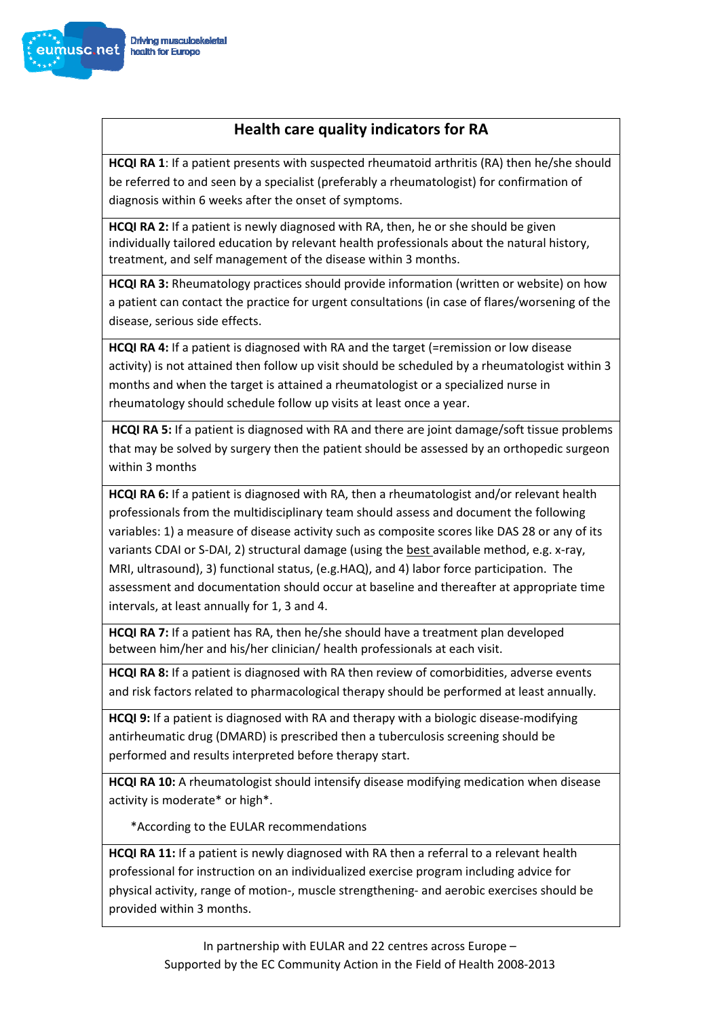

## **Health care quality indicators for RA**

**HCQI RA 1**: If a patient presents with suspected rheumatoid arthritis (RA) then he/she should be referred to and seen by a specialist (preferably a rheumatologist) for confirmation of diagnosis within 6 weeks after the onset of symptoms.

**HCQI RA 2:** If a patient is newly diagnosed with RA, then, he or she should be given individually tailored education by relevant health professionals about the natural history, treatment, and self management of the disease within 3 months.

**HCQI RA 3:** Rheumatology practices should provide information (written or website) on how a patient can contact the practice for urgent consultations (in case of flares/worsening of the disease, serious side effects.

**HCQI RA 4:** If a patient is diagnosed with RA and the target (=remission or low disease activity) is not attained then follow up visit should be scheduled by a rheumatologist within 3 months and when the target is attained a rheumatologist or a specialized nurse in rheumatology should schedule follow up visits at least once a year.

**HCQI RA 5:** If a patient is diagnosed with RA and there are joint damage/soft tissue problems that may be solved by surgery then the patient should be assessed by an orthopedic surgeon within 3 months

**HCQI RA 6:** If a patient is diagnosed with RA, then a rheumatologist and/or relevant health professionals from the multidisciplinary team should assess and document the following variables: 1) a measure of disease activity such as composite scores like DAS 28 or any of its variants CDAI or S‐DAI, 2) structural damage (using the best available method, e.g. x‐ray, MRI, ultrasound), 3) functional status, (e.g.HAQ), and 4) labor force participation. The assessment and documentation should occur at baseline and thereafter at appropriate time intervals, at least annually for 1, 3 and 4.

**HCQI RA 7:** If a patient has RA, then he/she should have a treatment plan developed between him/her and his/her clinician/ health professionals at each visit.

**HCQI RA 8:** If a patient is diagnosed with RA then review of comorbidities, adverse events and risk factors related to pharmacological therapy should be performed at least annually.

**HCQI** 9: If a patient is diagnosed with RA and therapy with a biologic disease-modifying antirheumatic drug (DMARD) is prescribed then a tuberculosis screening should be performed and results interpreted before therapy start.

**HCQI RA 10:** A rheumatologist should intensify disease modifying medication when disease activity is moderate\* or high\*.

\*According to the EULAR recommendations

**HCQI RA 11:** If a patient is newly diagnosed with RA then a referral to a relevant health professional for instruction on an individualized exercise program including advice for physical activity, range of motion‐, muscle strengthening‐ and aerobic exercises should be provided within 3 months.